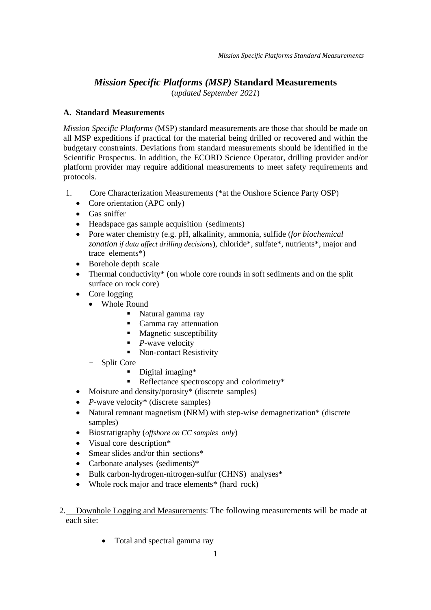# *Mission Specific Platforms (MSP)* **Standard Measurements**

(*updated September 2021*)

## **A. Standard Measurements**

*Mission Specific Platforms* (MSP) standard measurements are those that should be made on all MSP expeditions if practical for the material being drilled or recovered and within the budgetary constraints. Deviations from standard measurements should be identified in the Scientific Prospectus. In addition, the ECORD Science Operator, drilling provider and/or platform provider may require additional measurements to meet safety requirements and protocols.

- 1. Core Characterization Measurements (\*at the Onshore Science Party OSP)
	- Core orientation (APC only)
	- Gas sniffer
	- Headspace gas sample acquisition (sediments)
	- Pore water chemistry (e.g. pH, alkalinity, ammonia, sulfide (*for biochemical zonation if data affect drilling decisions*), chloride\*, sulfate\*, nutrients\*, major and trace elements\*)
	- Borehole depth scale
	- Thermal conductivity\* (on whole core rounds in soft sediments and on the split surface on rock core)
	- Core logging
		- Whole Round
			- Natural gamma ray
			- Gamma ray attenuation
			- Magnetic susceptibility
			- *P*-wave velocity
			- Non-contact Resistivity
		- Split Core
			- Digital imaging\*
			- Reflectance spectroscopy and colorimetry\*
	- Moisture and density/porosity\* (discrete samples)
	- *P*-wave velocity<sup>\*</sup> (discrete samples)
	- Natural remnant magnetism (NRM) with step-wise demagnetization\* (discrete samples)
	- Biostratigraphy (*offshore on CC samples only*)
	- Visual core description\*
	- Smear slides and/or thin sections\*
	- Carbonate analyses (sediments)\*
	- Bulk carbon-hydrogen-nitrogen-sulfur (CHNS) analyses<sup>\*</sup>
	- Whole rock major and trace elements<sup>\*</sup> (hard rock)
- 2. Downhole Logging and Measurements: The following measurements will be made at each site:
	- Total and spectral gamma ray